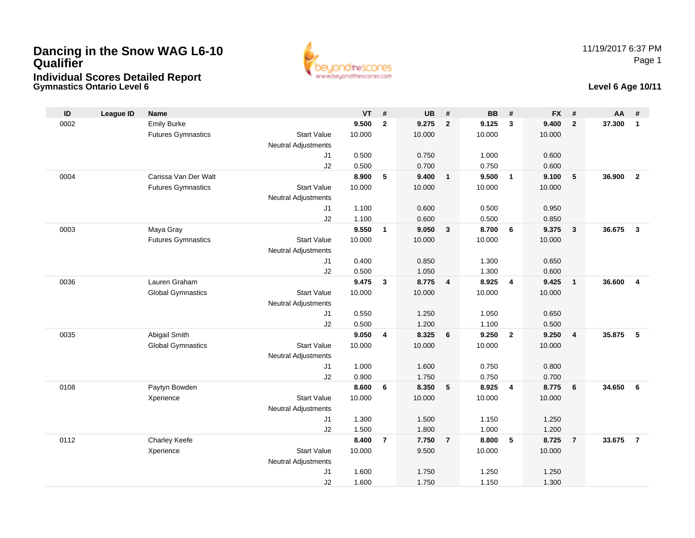# **Dancing in the Snow WAG L6-10 QualifierIndividual Scores Detailed Report**

**Gymnastics Ontario Level 6**



#### **Level 6 Age 10/11**

| ID   | <b>League ID</b> | <b>Name</b>               |                            | $VT$ #         |                         | <b>UB</b>      | #                       | <b>BB</b>      | #               | <b>FX</b>      | #                       | AA     | #                       |
|------|------------------|---------------------------|----------------------------|----------------|-------------------------|----------------|-------------------------|----------------|-----------------|----------------|-------------------------|--------|-------------------------|
| 0002 |                  | <b>Emily Burke</b>        |                            | 9.500          | $\overline{2}$          | 9.275          | $\overline{2}$          | 9.125          | $\mathbf{3}$    | 9.400          | $\overline{2}$          | 37.300 | $\mathbf{1}$            |
|      |                  | <b>Futures Gymnastics</b> | <b>Start Value</b>         | 10.000         |                         | 10.000         |                         | 10.000         |                 | 10.000         |                         |        |                         |
|      |                  |                           | <b>Neutral Adjustments</b> |                |                         |                |                         |                |                 |                |                         |        |                         |
|      |                  |                           | J <sub>1</sub>             | 0.500          |                         | 0.750          |                         | 1.000          |                 | 0.600          |                         |        |                         |
|      |                  |                           | J2                         | 0.500          |                         | 0.700          |                         | 0.750          |                 | 0.600          |                         |        |                         |
| 0004 |                  | Carissa Van Der Walt      |                            | 8.900          | 5                       | 9.400          | $\mathbf{1}$            | 9.500          | $\overline{1}$  | 9.100          | $5\phantom{.0}$         | 36.900 | $\overline{2}$          |
|      |                  | <b>Futures Gymnastics</b> | <b>Start Value</b>         | 10.000         |                         | 10.000         |                         | 10.000         |                 | 10.000         |                         |        |                         |
|      |                  |                           | <b>Neutral Adjustments</b> |                |                         |                |                         |                |                 |                |                         |        |                         |
|      |                  |                           | J1<br>J2                   | 1.100<br>1.100 |                         | 0.600<br>0.600 |                         | 0.500<br>0.500 |                 | 0.950<br>0.850 |                         |        |                         |
| 0003 |                  | Maya Gray                 |                            | 9.550          | $\mathbf{1}$            | 9.050          | $\mathbf{3}$            | 8.700          | 6               | 9.375          | $\mathbf{3}$            | 36.675 | $\overline{\mathbf{3}}$ |
|      |                  | <b>Futures Gymnastics</b> | <b>Start Value</b>         | 10.000         |                         | 10.000         |                         | 10.000         |                 | 10.000         |                         |        |                         |
|      |                  |                           | <b>Neutral Adjustments</b> |                |                         |                |                         |                |                 |                |                         |        |                         |
|      |                  |                           | J <sub>1</sub>             | 0.400          |                         | 0.850          |                         | 1.300          |                 | 0.650          |                         |        |                         |
|      |                  |                           | J2                         | 0.500          |                         | 1.050          |                         | 1.300          |                 | 0.600          |                         |        |                         |
| 0036 |                  | Lauren Graham             |                            | 9.475          | 3                       | 8.775          | $\overline{\mathbf{4}}$ | 8.925          | 4               | 9.425          | $\overline{1}$          | 36.600 | $\overline{4}$          |
|      |                  | <b>Global Gymnastics</b>  | <b>Start Value</b>         | 10.000         |                         | 10.000         |                         | 10.000         |                 | 10.000         |                         |        |                         |
|      |                  |                           | <b>Neutral Adjustments</b> |                |                         |                |                         |                |                 |                |                         |        |                         |
|      |                  |                           | J <sub>1</sub>             | 0.550          |                         | 1.250          |                         | 1.050          |                 | 0.650          |                         |        |                         |
|      |                  |                           | J2                         | 0.500          |                         | 1.200          |                         | 1.100          |                 | 0.500          |                         |        |                         |
| 0035 |                  | Abigail Smith             |                            | 9.050          | 4                       | 8.325          | 6                       | 9.250          | $\overline{2}$  | 9.250          | $\overline{\mathbf{4}}$ | 35.875 | 5                       |
|      |                  | <b>Global Gymnastics</b>  | <b>Start Value</b>         | 10.000         |                         | 10.000         |                         | 10.000         |                 | 10.000         |                         |        |                         |
|      |                  |                           | <b>Neutral Adjustments</b> |                |                         |                |                         |                |                 |                |                         |        |                         |
|      |                  |                           | J1                         | 1.000          |                         | 1.600          |                         | 0.750          |                 | 0.800          |                         |        |                         |
|      |                  |                           | J2                         | 0.900          |                         | 1.750          |                         | 0.750          |                 | 0.700          |                         |        |                         |
| 0108 |                  | Paytyn Bowden             |                            | 8.600          | 6                       | 8.350          | 5                       | 8.925          | $\overline{4}$  | 8.775          | 6                       | 34.650 | 6                       |
|      |                  | Xperience                 | <b>Start Value</b>         | 10.000         |                         | 10.000         |                         | 10.000         |                 | 10.000         |                         |        |                         |
|      |                  |                           | <b>Neutral Adjustments</b> |                |                         |                |                         |                |                 |                |                         |        |                         |
|      |                  |                           | J1                         | 1.300<br>1.500 |                         | 1.500          |                         | 1.150          |                 | 1.250          |                         |        |                         |
| 0112 |                  | Charley Keefe             | J2                         | 8.400          | $\overline{\mathbf{r}}$ | 1.800<br>7.750 | $\overline{7}$          | 1.000<br>8.800 | $5\phantom{.0}$ | 1.200<br>8.725 | $\overline{7}$          | 33.675 | $\overline{7}$          |
|      |                  | Xperience                 | <b>Start Value</b>         | 10.000         |                         | 9.500          |                         | 10.000         |                 | 10.000         |                         |        |                         |
|      |                  |                           | <b>Neutral Adjustments</b> |                |                         |                |                         |                |                 |                |                         |        |                         |
|      |                  |                           | J <sub>1</sub>             | 1.600          |                         | 1.750          |                         | 1.250          |                 | 1.250          |                         |        |                         |
|      |                  |                           | J2                         | 1.600          |                         | 1.750          |                         | 1.150          |                 | 1.300          |                         |        |                         |
|      |                  |                           |                            |                |                         |                |                         |                |                 |                |                         |        |                         |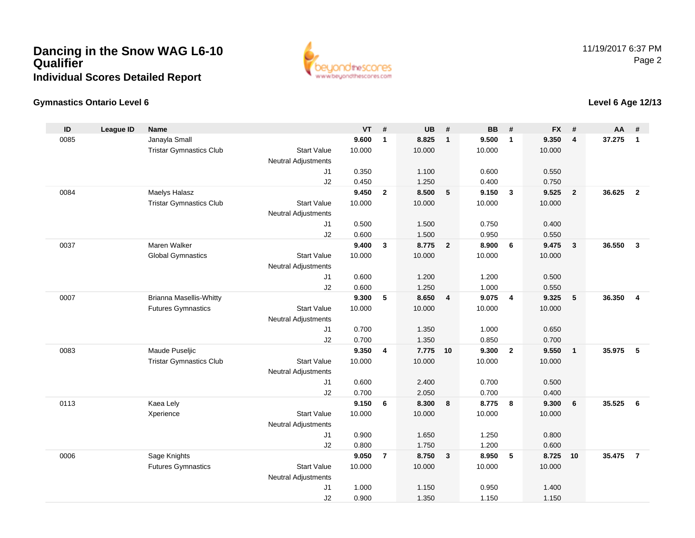## **Dancing in the Snow WAG L6-10 QualifierIndividual Scores Detailed Report**



### **Gymnastics Ontario Level 6**

| ID   | <b>League ID</b> | <b>Name</b>                    |                            | <b>VT</b> | #              | <b>UB</b> | #                       | <b>BB</b> | #                       | <b>FX</b> | #              | AA     | #              |
|------|------------------|--------------------------------|----------------------------|-----------|----------------|-----------|-------------------------|-----------|-------------------------|-----------|----------------|--------|----------------|
| 0085 |                  | Janayla Small                  |                            | 9.600     | $\mathbf{1}$   | 8.825     | $\overline{1}$          | 9.500     | $\mathbf{1}$            | 9.350     | $\overline{4}$ | 37.275 | $\mathbf{1}$   |
|      |                  | <b>Tristar Gymnastics Club</b> | <b>Start Value</b>         | 10.000    |                | 10.000    |                         | 10.000    |                         | 10.000    |                |        |                |
|      |                  |                                | <b>Neutral Adjustments</b> |           |                |           |                         |           |                         |           |                |        |                |
|      |                  |                                | J <sub>1</sub>             | 0.350     |                | 1.100     |                         | 0.600     |                         | 0.550     |                |        |                |
|      |                  |                                | J2                         | 0.450     |                | 1.250     |                         | 0.400     |                         | 0.750     |                |        |                |
| 0084 |                  | Maelys Halasz                  |                            | 9.450     | $\overline{2}$ | 8.500     | 5                       | 9.150     | $\overline{\mathbf{3}}$ | 9.525     | $\overline{2}$ | 36.625 | $\overline{2}$ |
|      |                  | <b>Tristar Gymnastics Club</b> | <b>Start Value</b>         | 10.000    |                | 10.000    |                         | 10.000    |                         | 10.000    |                |        |                |
|      |                  |                                | <b>Neutral Adjustments</b> |           |                |           |                         |           |                         |           |                |        |                |
|      |                  |                                | J1                         | 0.500     |                | 1.500     |                         | 0.750     |                         | 0.400     |                |        |                |
|      |                  |                                | J2                         | 0.600     |                | 1.500     |                         | 0.950     |                         | 0.550     |                |        |                |
| 0037 |                  | Maren Walker                   |                            | 9.400     | 3              | 8.775     | $\overline{\mathbf{2}}$ | 8.900     | 6                       | 9.475     | $\mathbf{3}$   | 36.550 | $\mathbf{3}$   |
|      |                  | <b>Global Gymnastics</b>       | <b>Start Value</b>         | 10.000    |                | 10.000    |                         | 10.000    |                         | 10.000    |                |        |                |
|      |                  |                                | <b>Neutral Adjustments</b> |           |                |           |                         |           |                         |           |                |        |                |
|      |                  |                                | J1                         | 0.600     |                | 1.200     |                         | 1.200     |                         | 0.500     |                |        |                |
|      |                  |                                | J2                         | 0.600     |                | 1.250     |                         | 1.000     |                         | 0.550     |                |        |                |
| 0007 |                  | <b>Brianna Masellis-Whitty</b> |                            | 9.300     | 5              | 8.650     | $\overline{4}$          | 9.075     | $\overline{4}$          | 9.325     | 5              | 36.350 | $\overline{4}$ |
|      |                  | <b>Futures Gymnastics</b>      | <b>Start Value</b>         | 10.000    |                | 10.000    |                         | 10.000    |                         | 10.000    |                |        |                |
|      |                  |                                | <b>Neutral Adjustments</b> |           |                |           |                         |           |                         |           |                |        |                |
|      |                  |                                | J <sub>1</sub>             | 0.700     |                | 1.350     |                         | 1.000     |                         | 0.650     |                |        |                |
|      |                  |                                | J2                         | 0.700     |                | 1.350     |                         | 0.850     |                         | 0.700     |                |        |                |
| 0083 |                  | Maude Puseljic                 |                            | 9.350     | $\overline{4}$ | 7.775     | 10                      | 9.300     | $\overline{2}$          | 9.550     | $\overline{1}$ | 35.975 | 5              |
|      |                  | <b>Tristar Gymnastics Club</b> | <b>Start Value</b>         | 10.000    |                | 10.000    |                         | 10.000    |                         | 10.000    |                |        |                |
|      |                  |                                | <b>Neutral Adjustments</b> |           |                |           |                         |           |                         |           |                |        |                |
|      |                  |                                | J1                         | 0.600     |                | 2.400     |                         | 0.700     |                         | 0.500     |                |        |                |
|      |                  |                                | J2                         | 0.700     |                | 2.050     |                         | 0.700     |                         | 0.400     |                |        |                |
| 0113 |                  | Kaea Lely                      |                            | 9.150     | 6              | 8.300     | 8                       | 8.775     | 8                       | 9.300     | 6              | 35.525 | 6              |
|      |                  | Xperience                      | <b>Start Value</b>         | 10.000    |                | 10.000    |                         | 10.000    |                         | 10.000    |                |        |                |
|      |                  |                                | <b>Neutral Adjustments</b> |           |                |           |                         |           |                         |           |                |        |                |
|      |                  |                                | J1                         | 0.900     |                | 1.650     |                         | 1.250     |                         | 0.800     |                |        |                |
|      |                  |                                | J2                         | 0.800     |                | 1.750     |                         | 1.200     |                         | 0.600     |                |        |                |
| 0006 |                  | Sage Knights                   |                            | 9.050     | $\overline{7}$ | 8.750     | $\overline{\mathbf{3}}$ | 8.950     | 5                       | 8.725     | 10             | 35.475 | $\overline{7}$ |
|      |                  | <b>Futures Gymnastics</b>      | <b>Start Value</b>         | 10.000    |                | 10.000    |                         | 10.000    |                         | 10.000    |                |        |                |
|      |                  |                                | <b>Neutral Adjustments</b> |           |                |           |                         |           |                         |           |                |        |                |
|      |                  |                                | J <sub>1</sub>             | 1.000     |                | 1.150     |                         | 0.950     |                         | 1.400     |                |        |                |
|      |                  |                                | J2                         | 0.900     |                | 1.350     |                         | 1.150     |                         | 1.150     |                |        |                |

### **Level 6 Age 12/13**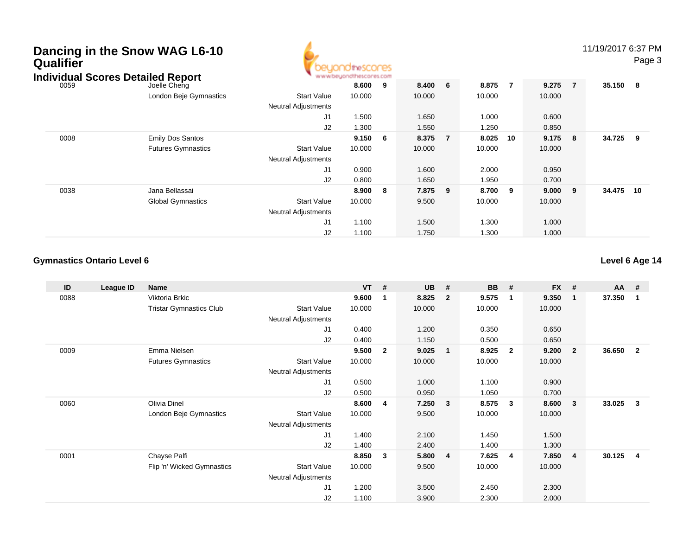| Dancing in the Snow WAG L6-10 |  |  |
|-------------------------------|--|--|
| <b>Qualifier</b>              |  |  |



11/19/2017 6:37 PM

Page 3

| Individual Scores Detailed Report |      |                           | www.beyondthescores.com    |        |     |        |                |        |     |         |                |          |     |
|-----------------------------------|------|---------------------------|----------------------------|--------|-----|--------|----------------|--------|-----|---------|----------------|----------|-----|
|                                   | 0059 | Joelle Cheng              |                            | 8.600  | - 9 | 8.400  | 6              | 8.875  | 7   | 9.275   | $\overline{7}$ | 35.150 8 |     |
|                                   |      | London Beje Gymnastics    | <b>Start Value</b>         | 10.000 |     | 10.000 |                | 10.000 |     | 10.000  |                |          |     |
|                                   |      |                           | <b>Neutral Adjustments</b> |        |     |        |                |        |     |         |                |          |     |
|                                   |      |                           | J <sub>1</sub>             | 1.500  |     | 1.650  |                | 1.000  |     | 0.600   |                |          |     |
|                                   |      |                           | J2                         | 1.300  |     | 1.550  |                | 1.250  |     | 0.850   |                |          |     |
|                                   | 0008 | <b>Emily Dos Santos</b>   |                            | 9.150  | - 6 | 8.375  | $\overline{7}$ | 8.025  | 10  | 9.175 8 |                | 34.725   | - 9 |
|                                   |      | <b>Futures Gymnastics</b> | <b>Start Value</b>         | 10.000 |     | 10.000 |                | 10.000 |     | 10.000  |                |          |     |
|                                   |      |                           | <b>Neutral Adjustments</b> |        |     |        |                |        |     |         |                |          |     |
|                                   |      |                           | J <sub>1</sub>             | 0.900  |     | 1.600  |                | 2.000  |     | 0.950   |                |          |     |
|                                   |      |                           | J2                         | 0.800  |     | 1.650  |                | 1.950  |     | 0.700   |                |          |     |
|                                   | 0038 | Jana Bellassai            |                            | 8.900  | - 8 | 7.875  | 9              | 8.700  | - 9 | 9.000   | - 9            | 34.475   | 10  |
|                                   |      | <b>Global Gymnastics</b>  | Start Value                | 10.000 |     | 9.500  |                | 10.000 |     | 10.000  |                |          |     |
|                                   |      |                           | <b>Neutral Adjustments</b> |        |     |        |                |        |     |         |                |          |     |
|                                   |      |                           | J <sub>1</sub>             | 1.100  |     | 1.500  |                | 1.300  |     | 1.000   |                |          |     |
|                                   |      |                           | J2                         | 1.100  |     | 1.750  |                | 1.300  |     | 1.000   |                |          |     |

### **Gymnastics Ontario Level 6**

**Level 6 Age 14**

| ID   | League ID | <b>Name</b>                    |                            | <b>VT</b> | #            | <b>UB</b> | #              | <b>BB</b> | #                       | <b>FX</b> | #                       | <b>AA</b> | #            |
|------|-----------|--------------------------------|----------------------------|-----------|--------------|-----------|----------------|-----------|-------------------------|-----------|-------------------------|-----------|--------------|
| 0088 |           | Viktoria Brkic                 |                            | 9.600     | 1            | 8.825     | $\overline{2}$ | 9.575     | $\overline{\mathbf{1}}$ | 9.350     | $\overline{1}$          | 37.350    | -1           |
|      |           | <b>Tristar Gymnastics Club</b> | Start Value                | 10.000    |              | 10.000    |                | 10.000    |                         | 10.000    |                         |           |              |
|      |           |                                | <b>Neutral Adjustments</b> |           |              |           |                |           |                         |           |                         |           |              |
|      |           |                                | J <sub>1</sub>             | 0.400     |              | 1.200     |                | 0.350     |                         | 0.650     |                         |           |              |
|      |           |                                | J2                         | 0.400     |              | 1.150     |                | 0.500     |                         | 0.650     |                         |           |              |
| 0009 |           | Emma Nielsen                   |                            | 9.500     | $\mathbf{2}$ | 9.025     | $\mathbf{1}$   | 8.925     | $\overline{\mathbf{2}}$ | 9.200     | $\overline{\mathbf{2}}$ | 36.650    | $\mathbf{2}$ |
|      |           | <b>Futures Gymnastics</b>      | <b>Start Value</b>         | 10.000    |              | 10.000    |                | 10.000    |                         | 10.000    |                         |           |              |
|      |           |                                | <b>Neutral Adjustments</b> |           |              |           |                |           |                         |           |                         |           |              |
|      |           |                                | J1                         | 0.500     |              | 1.000     |                | 1.100     |                         | 0.900     |                         |           |              |
|      |           |                                | J2                         | 0.500     |              | 0.950     |                | 1.050     |                         | 0.700     |                         |           |              |
| 0060 |           | <b>Olivia Dinel</b>            |                            | 8.600     | 4            | 7.250     | 3              | 8.575     | $\mathbf{3}$            | 8.600     | $\mathbf{3}$            | 33.025    | 3            |
|      |           | London Beje Gymnastics         | <b>Start Value</b>         | 10.000    |              | 9.500     |                | 10.000    |                         | 10.000    |                         |           |              |
|      |           |                                | Neutral Adjustments        |           |              |           |                |           |                         |           |                         |           |              |
|      |           |                                | J1                         | 1.400     |              | 2.100     |                | 1.450     |                         | 1.500     |                         |           |              |
|      |           |                                | J2                         | 1.400     |              | 2.400     |                | 1.400     |                         | 1.300     |                         |           |              |
| 0001 |           | Chayse Palfi                   |                            | 8.850     | 3            | 5.800     | $\overline{4}$ | 7.625     | $\overline{4}$          | 7.850     | -4                      | 30.125    | 4            |
|      |           | Flip 'n' Wicked Gymnastics     | <b>Start Value</b>         | 10.000    |              | 9.500     |                | 10.000    |                         | 10.000    |                         |           |              |
|      |           |                                | Neutral Adjustments        |           |              |           |                |           |                         |           |                         |           |              |
|      |           |                                | J <sub>1</sub>             | 1.200     |              | 3.500     |                | 2.450     |                         | 2.300     |                         |           |              |
|      |           |                                | J <sub>2</sub>             | 1.100     |              | 3.900     |                | 2.300     |                         | 2.000     |                         |           |              |